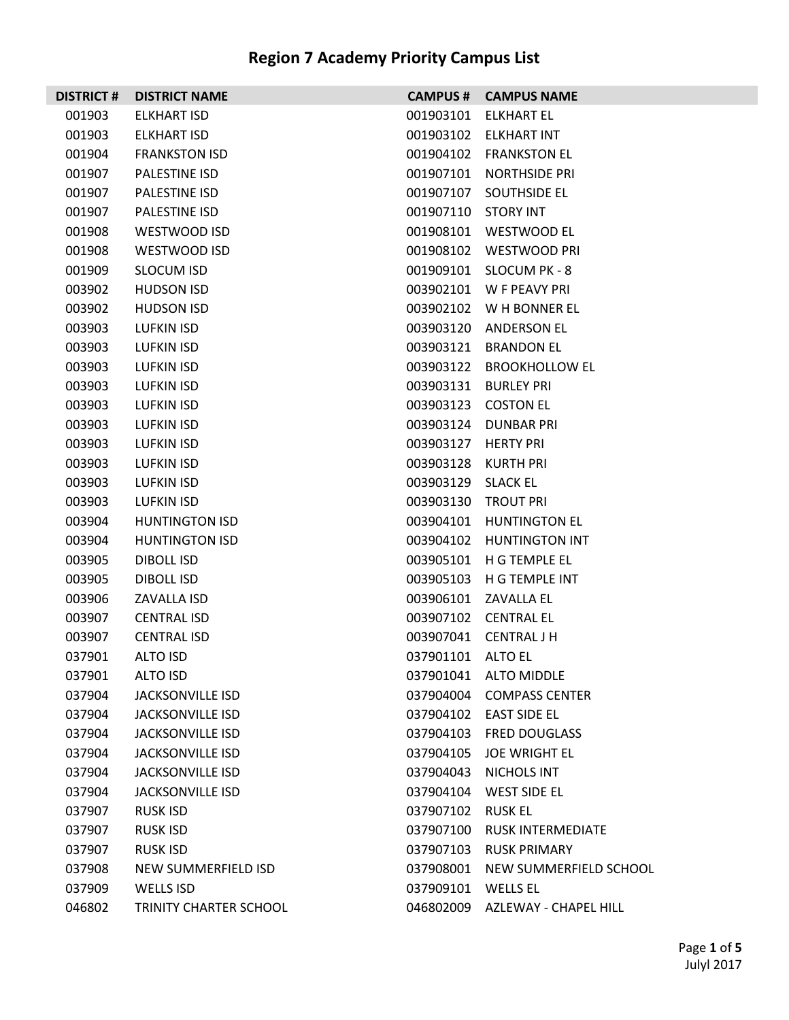| <b>DISTRICT#</b>                                                             | <b>DISTRICT NAME</b>                                                                                                                                        | <b>CAMPUS #</b>                                                                         | <b>CAMPUS NAME</b>                                                                                                                                          |
|------------------------------------------------------------------------------|-------------------------------------------------------------------------------------------------------------------------------------------------------------|-----------------------------------------------------------------------------------------|-------------------------------------------------------------------------------------------------------------------------------------------------------------|
| 001903                                                                       | ELKHART ISD                                                                                                                                                 | 001903101                                                                               | <b>ELKHART EL</b>                                                                                                                                           |
| 001903                                                                       | ELKHART ISD                                                                                                                                                 | 001903102                                                                               | ELKHART INT                                                                                                                                                 |
| 001904                                                                       | <b>FRANKSTON ISD</b>                                                                                                                                        | 001904102                                                                               | <b>FRANKSTON EL</b>                                                                                                                                         |
| 001907                                                                       | PALESTINE ISD                                                                                                                                               | 001907101                                                                               | NORTHSIDE PRI                                                                                                                                               |
| 001907                                                                       | PALESTINE ISD                                                                                                                                               | 001907107                                                                               | SOUTHSIDE EL                                                                                                                                                |
| 001907                                                                       | <b>PALESTINE ISD</b>                                                                                                                                        | 001907110                                                                               | <b>STORY INT</b>                                                                                                                                            |
| 001908                                                                       | WESTWOOD ISD                                                                                                                                                | 001908101                                                                               | WESTWOOD EL                                                                                                                                                 |
| 001908                                                                       | WESTWOOD ISD                                                                                                                                                |                                                                                         | 001908102 WESTWOOD PRI                                                                                                                                      |
| 001909                                                                       | <b>SLOCUM ISD</b>                                                                                                                                           | 001909101                                                                               | SLOCUM PK - 8                                                                                                                                               |
| 003902                                                                       | <b>HUDSON ISD</b>                                                                                                                                           |                                                                                         | 003902101 W F PEAVY PRI                                                                                                                                     |
| 003902                                                                       | <b>HUDSON ISD</b>                                                                                                                                           | 003902102                                                                               | W H BONNER EL                                                                                                                                               |
| 003903                                                                       | LUFKIN ISD                                                                                                                                                  | 003903120                                                                               | ANDERSON EL                                                                                                                                                 |
| 003903                                                                       | <b>LUFKIN ISD</b>                                                                                                                                           | 003903121                                                                               | <b>BRANDON EL</b>                                                                                                                                           |
| 003903                                                                       | LUFKIN ISD                                                                                                                                                  | 003903122                                                                               | <b>BROOKHOLLOW EL</b>                                                                                                                                       |
| 003903                                                                       | LUFKIN ISD                                                                                                                                                  | 003903131                                                                               | <b>BURLEY PRI</b>                                                                                                                                           |
| 003903                                                                       | LUFKIN ISD                                                                                                                                                  |                                                                                         | 003903123 COSTON EL                                                                                                                                         |
| 003903                                                                       | LUFKIN ISD                                                                                                                                                  | 003903124                                                                               | <b>DUNBAR PRI</b>                                                                                                                                           |
| 003903                                                                       | LUFKIN ISD                                                                                                                                                  | 003903127                                                                               | HERTY PRI                                                                                                                                                   |
| 003903                                                                       | LUFKIN ISD                                                                                                                                                  | 003903128                                                                               | KURTH PRI                                                                                                                                                   |
| 003903                                                                       | LUFKIN ISD                                                                                                                                                  | 003903129                                                                               | SLACK EL                                                                                                                                                    |
| 003903                                                                       | LUFKIN ISD                                                                                                                                                  | 003903130                                                                               | <b>TROUT PRI</b>                                                                                                                                            |
| 003904                                                                       | <b>HUNTINGTON ISD</b>                                                                                                                                       | 003904101                                                                               | <b>HUNTINGTON EL</b>                                                                                                                                        |
| 003904                                                                       | <b>HUNTINGTON ISD</b>                                                                                                                                       | 003904102                                                                               | <b>HUNTINGTON INT</b>                                                                                                                                       |
| 003905                                                                       | DIBOLL ISD                                                                                                                                                  | 003905101                                                                               | H G TEMPLE EL                                                                                                                                               |
| 003905                                                                       | DIBOLL ISD                                                                                                                                                  | 003905103                                                                               | H G TEMPLE INT                                                                                                                                              |
| 003906                                                                       | ZAVALLA ISD                                                                                                                                                 | 003906101                                                                               | ZAVALLA EL                                                                                                                                                  |
| 003907                                                                       | <b>CENTRAL ISD</b>                                                                                                                                          |                                                                                         | 003907102 CENTRAL EL                                                                                                                                        |
| 003907                                                                       | <b>CENTRAL ISD</b>                                                                                                                                          |                                                                                         | 003907041 CENTRAL J H                                                                                                                                       |
| 037901                                                                       | ALTO ISD                                                                                                                                                    | 037901101 ALTO EL                                                                       |                                                                                                                                                             |
| 037901                                                                       | ALTO ISD                                                                                                                                                    |                                                                                         | 037901041 ALTO MIDDLE                                                                                                                                       |
| 037904                                                                       | <b>JACKSONVILLE ISD</b>                                                                                                                                     | 037904004                                                                               | <b>COMPASS CENTER</b>                                                                                                                                       |
| 037904                                                                       | <b>JACKSONVILLE ISD</b>                                                                                                                                     |                                                                                         | 037904102 EAST SIDE EL                                                                                                                                      |
| 037904                                                                       | <b>JACKSONVILLE ISD</b>                                                                                                                                     | 037904103                                                                               | <b>FRED DOUGLASS</b>                                                                                                                                        |
| 037904                                                                       | <b>JACKSONVILLE ISD</b>                                                                                                                                     | 037904105                                                                               | JOE WRIGHT EL                                                                                                                                               |
|                                                                              |                                                                                                                                                             |                                                                                         |                                                                                                                                                             |
|                                                                              |                                                                                                                                                             |                                                                                         |                                                                                                                                                             |
|                                                                              |                                                                                                                                                             |                                                                                         |                                                                                                                                                             |
|                                                                              |                                                                                                                                                             |                                                                                         |                                                                                                                                                             |
|                                                                              |                                                                                                                                                             |                                                                                         |                                                                                                                                                             |
|                                                                              |                                                                                                                                                             |                                                                                         |                                                                                                                                                             |
|                                                                              |                                                                                                                                                             |                                                                                         |                                                                                                                                                             |
| 037904<br>037904<br>037907<br>037907<br>037907<br>037908<br>037909<br>046802 | <b>JACKSONVILLE ISD</b><br><b>JACKSONVILLE ISD</b><br>RUSK ISD<br>RUSK ISD<br>RUSK ISD<br>NEW SUMMERFIELD ISD<br>WELLS ISD<br><b>TRINITY CHARTER SCHOOL</b> | 037904043<br>037904104<br>037907102<br>037907100<br>037907103<br>037908001<br>037909101 | NICHOLS INT<br>WEST SIDE EL<br>RUSK EL<br>RUSK INTERMEDIATE<br><b>RUSK PRIMARY</b><br>NEW SUMMERFIELD SCHOOL<br>WELLS EL<br>046802009 AZLEWAY - CHAPEL HILL |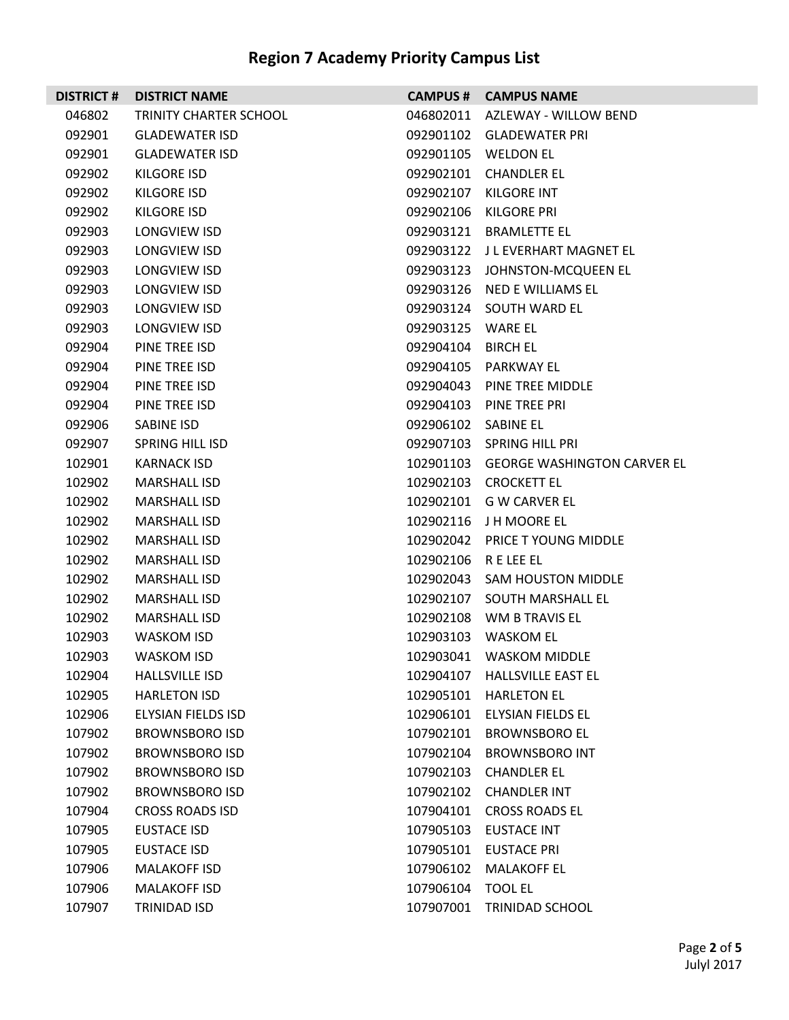| <b>DISTRICT#</b> | <b>DISTRICT NAME</b>   | <b>CAMPUS #</b>   | <b>CAMPUS NAME</b>                 |
|------------------|------------------------|-------------------|------------------------------------|
| 046802           | TRINITY CHARTER SCHOOL |                   | 046802011 AZLEWAY - WILLOW BEND    |
| 092901           | <b>GLADEWATER ISD</b>  |                   | 092901102 GLADEWATER PRI           |
| 092901           | <b>GLADEWATER ISD</b>  | 092901105         | <b>WELDON EL</b>                   |
| 092902           | <b>KILGORE ISD</b>     | 092902101         | <b>CHANDLER EL</b>                 |
| 092902           | KILGORE ISD            | 092902107         | KILGORE INT                        |
| 092902           | KILGORE ISD            | 092902106         | KILGORE PRI                        |
| 092903           | LONGVIEW ISD           | 092903121         | <b>BRAMLETTE EL</b>                |
| 092903           | LONGVIEW ISD           |                   | 092903122 JL EVERHART MAGNET EL    |
| 092903           | LONGVIEW ISD           |                   | 092903123 JOHNSTON-MCQUEEN EL      |
| 092903           | LONGVIEW ISD           | 092903126         | NED E WILLIAMS EL                  |
| 092903           | LONGVIEW ISD           | 092903124         | SOUTH WARD EL                      |
| 092903           | LONGVIEW ISD           | 092903125 WARE EL |                                    |
| 092904           | PINE TREE ISD          | 092904104         | <b>BIRCH EL</b>                    |
| 092904           | PINE TREE ISD          | 092904105         | <b>PARKWAY EL</b>                  |
| 092904           | PINE TREE ISD          | 092904043         | PINE TREE MIDDLE                   |
| 092904           | PINE TREE ISD          | 092904103         | PINE TREE PRI                      |
| 092906           | SABINE ISD             | 092906102         | SABINE EL                          |
| 092907           | <b>SPRING HILL ISD</b> |                   | 092907103 SPRING HILL PRI          |
| 102901           | <b>KARNACK ISD</b>     | 102901103         | <b>GEORGE WASHINGTON CARVER EL</b> |
| 102902           | MARSHALL ISD           | 102902103         | <b>CROCKETT EL</b>                 |
| 102902           | MARSHALL ISD           | 102902101         | G W CARVER EL                      |
| 102902           | MARSHALL ISD           | 102902116         | J H MOORE EL                       |
| 102902           | <b>MARSHALL ISD</b>    | 102902042         | PRICE T YOUNG MIDDLE               |
| 102902           | MARSHALL ISD           | 102902106         | R E LEE EL                         |
| 102902           | MARSHALL ISD           | 102902043         | SAM HOUSTON MIDDLE                 |
| 102902           | MARSHALL ISD           | 102902107         | SOUTH MARSHALL EL                  |
| 102902           | <b>MARSHALL ISD</b>    | 102902108         | WM B TRAVIS EL                     |
| 102903           | <b>WASKOM ISD</b>      | 102903103         | <b>WASKOM EL</b>                   |
| 102903           | <b>WASKOM ISD</b>      |                   | 102903041 WASKOM MIDDLE            |
| 102904           | <b>HALLSVILLE ISD</b>  | 102904107         | HALLSVILLE EAST EL                 |
| 102905           | <b>HARLETON ISD</b>    | 102905101         | <b>HARLETON EL</b>                 |
| 102906           | ELYSIAN FIELDS ISD     | 102906101         | ELYSIAN FIELDS EL                  |
| 107902           | <b>BROWNSBORO ISD</b>  | 107902101         | <b>BROWNSBORO EL</b>               |
| 107902           | <b>BROWNSBORO ISD</b>  | 107902104         | <b>BROWNSBORO INT</b>              |
| 107902           | <b>BROWNSBORO ISD</b>  | 107902103         | <b>CHANDLER EL</b>                 |
| 107902           | <b>BROWNSBORO ISD</b>  | 107902102         | <b>CHANDLER INT</b>                |
| 107904           | <b>CROSS ROADS ISD</b> | 107904101         | <b>CROSS ROADS EL</b>              |
| 107905           | <b>EUSTACE ISD</b>     | 107905103         | <b>EUSTACE INT</b>                 |
| 107905           | <b>EUSTACE ISD</b>     | 107905101         | <b>EUSTACE PRI</b>                 |
| 107906           | <b>MALAKOFF ISD</b>    | 107906102         | <b>MALAKOFF EL</b>                 |
| 107906           | <b>MALAKOFF ISD</b>    | 107906104         | <b>TOOL EL</b>                     |
| 107907           | TRINIDAD ISD           | 107907001         | <b>TRINIDAD SCHOOL</b>             |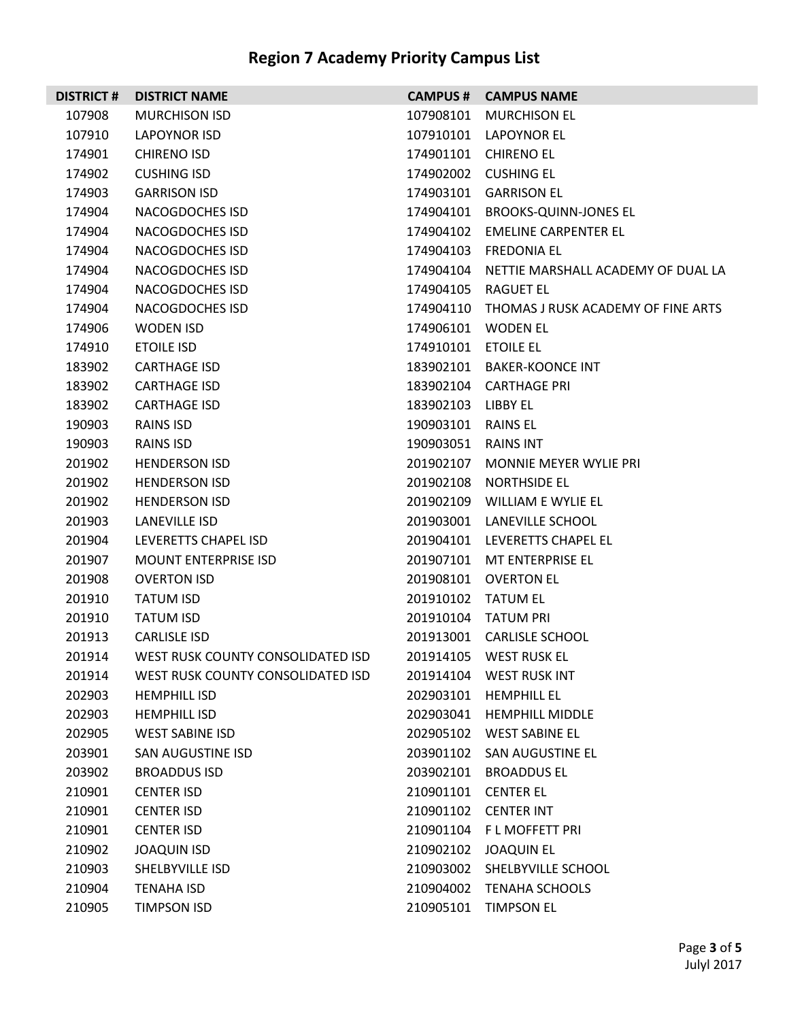| <b>DISTRICT#</b> | <b>DISTRICT NAME</b>              |           | <b>CAMPUS # CAMPUS NAME</b>        |
|------------------|-----------------------------------|-----------|------------------------------------|
| 107908           | <b>MURCHISON ISD</b>              | 107908101 | <b>MURCHISON EL</b>                |
| 107910           | LAPOYNOR ISD                      | 107910101 | LAPOYNOR EL                        |
| 174901           | <b>CHIRENO ISD</b>                | 174901101 | <b>CHIRENO EL</b>                  |
| 174902           | <b>CUSHING ISD</b>                |           | 174902002 CUSHING EL               |
| 174903           | <b>GARRISON ISD</b>               | 174903101 | <b>GARRISON EL</b>                 |
| 174904           | NACOGDOCHES ISD                   |           | 174904101 BROOKS-QUINN-JONES EL    |
| 174904           | NACOGDOCHES ISD                   | 174904102 | EMELINE CARPENTER EL               |
| 174904           | NACOGDOCHES ISD                   |           | 174904103 FREDONIA EL              |
| 174904           | NACOGDOCHES ISD                   | 174904104 | NETTIE MARSHALL ACADEMY OF DUAL LA |
| 174904           | NACOGDOCHES ISD                   | 174904105 | RAGUET EL                          |
| 174904           | NACOGDOCHES ISD                   | 174904110 | THOMAS J RUSK ACADEMY OF FINE ARTS |
| 174906           | WODEN ISD                         |           | 174906101 WODEN EL                 |
| 174910           | <b>ETOILE ISD</b>                 | 174910101 | <b>ETOILE EL</b>                   |
| 183902           | <b>CARTHAGE ISD</b>               |           | 183902101 BAKER-KOONCE INT         |
| 183902           | <b>CARTHAGE ISD</b>               |           | 183902104 CARTHAGE PRI             |
| 183902           | <b>CARTHAGE ISD</b>               | 183902103 | LIBBY EL                           |
| 190903           | RAINS ISD                         | 190903101 | <b>RAINS EL</b>                    |
| 190903           | <b>RAINS ISD</b>                  | 190903051 | RAINS INT                          |
| 201902           | <b>HENDERSON ISD</b>              | 201902107 | <b>MONNIE MEYER WYLIE PRI</b>      |
| 201902           | <b>HENDERSON ISD</b>              | 201902108 | NORTHSIDE EL                       |
| 201902           | <b>HENDERSON ISD</b>              | 201902109 | WILLIAM E WYLIE EL                 |
| 201903           | LANEVILLE ISD                     | 201903001 | LANEVILLE SCHOOL                   |
| 201904           | LEVERETTS CHAPEL ISD              | 201904101 | LEVERETTS CHAPEL EL                |
| 201907           | <b>MOUNT ENTERPRISE ISD</b>       |           | 201907101 MT ENTERPRISE EL         |
| 201908           | <b>OVERTON ISD</b>                | 201908101 | OVERTON EL                         |
| 201910           | <b>TATUM ISD</b>                  | 201910102 | TATUM EL                           |
| 201910           | <b>TATUM ISD</b>                  | 201910104 | TATUM PRI                          |
| 201913           | <b>CARLISLE ISD</b>               |           | 201913001 CARLISLE SCHOOL          |
| 201914           | WEST RUSK COUNTY CONSOLIDATED ISD |           | 201914105 WEST RUSK FL             |
| 201914           | WEST RUSK COUNTY CONSOLIDATED ISD |           | 201914104 WEST RUSK INT            |
| 202903           | <b>HEMPHILL ISD</b>               | 202903101 | <b>HEMPHILL EL</b>                 |
| 202903           | <b>HEMPHILL ISD</b>               | 202903041 | <b>HEMPHILL MIDDLE</b>             |
| 202905           | <b>WEST SABINE ISD</b>            |           | 202905102 WEST SABINE EL           |
| 203901           | SAN AUGUSTINE ISD                 |           | 203901102 SAN AUGUSTINE EL         |
| 203902           | <b>BROADDUS ISD</b>               | 203902101 | <b>BROADDUS EL</b>                 |
| 210901           | <b>CENTER ISD</b>                 |           | 210901101 CENTER EL                |
| 210901           | <b>CENTER ISD</b>                 |           | 210901102 CENTER INT               |
| 210901           | <b>CENTER ISD</b>                 |           | 210901104 FL MOFFETT PRI           |
| 210902           | <b>JOAQUIN ISD</b>                | 210902102 | <b>JOAQUIN EL</b>                  |
| 210903           | SHELBYVILLE ISD                   |           | 210903002 SHELBYVILLE SCHOOL       |
| 210904           | <b>TENAHA ISD</b>                 | 210904002 | <b>TENAHA SCHOOLS</b>              |
| 210905           | TIMPSON ISD                       | 210905101 | <b>TIMPSON EL</b>                  |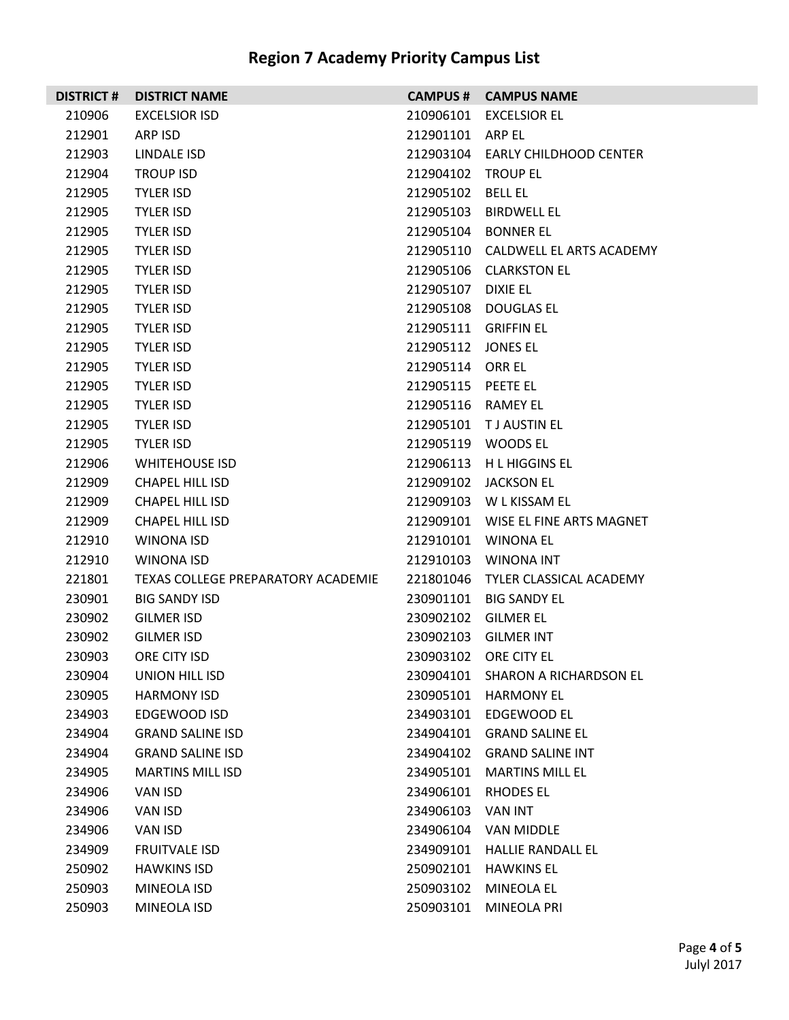|  | <b>Region 7 Academy Priority Campus List</b> |
|--|----------------------------------------------|
|--|----------------------------------------------|

| <b>DISTRICT#</b> | <b>DISTRICT NAME</b>               | <b>CAMPUS #</b>      | <b>CAMPUS NAME</b>                 |
|------------------|------------------------------------|----------------------|------------------------------------|
| 210906           | <b>EXCELSIOR ISD</b>               | 210906101            | <b>EXCELSIOR EL</b>                |
| 212901           | ARP ISD                            | 212901101 ARP EL     |                                    |
| 212903           | LINDALE ISD                        |                      | 212903104 EARLY CHILDHOOD CENTER   |
| 212904           | <b>TROUP ISD</b>                   | 212904102 TROUP EL   |                                    |
| 212905           | <b>TYLER ISD</b>                   | 212905102            | <b>BELL EL</b>                     |
| 212905           | <b>TYLER ISD</b>                   | 212905103            | <b>BIRDWELL EL</b>                 |
| 212905           | <b>TYLER ISD</b>                   |                      | 212905104 BONNER EL                |
| 212905           | <b>TYLER ISD</b>                   |                      | 212905110 CALDWELL EL ARTS ACADEMY |
| 212905           | <b>TYLER ISD</b>                   | 212905106            | <b>CLARKSTON EL</b>                |
| 212905           | <b>TYLER ISD</b>                   | 212905107            | DIXIE EL                           |
| 212905           | <b>TYLER ISD</b>                   |                      | 212905108 DOUGLAS EL               |
| 212905           | <b>TYLER ISD</b>                   | 212905111 GRIFFIN EL |                                    |
| 212905           | <b>TYLER ISD</b>                   | 212905112 JONES EL   |                                    |
| 212905           | <b>TYLER ISD</b>                   | 212905114 ORR EL     |                                    |
| 212905           | <b>TYLER ISD</b>                   | 212905115 PEETE EL   |                                    |
| 212905           | <b>TYLER ISD</b>                   | 212905116 RAMEY EL   |                                    |
| 212905           | <b>TYLER ISD</b>                   |                      | 212905101 TJ AUSTIN EL             |
| 212905           | <b>TYLER ISD</b>                   |                      | 212905119 WOODS EL                 |
| 212906           | <b>WHITEHOUSE ISD</b>              |                      | 212906113 H L HIGGINS EL           |
| 212909           | <b>CHAPEL HILL ISD</b>             |                      | 212909102 JACKSON EL               |
| 212909           | <b>CHAPEL HILL ISD</b>             |                      | 212909103 W L KISSAM EL            |
| 212909           | <b>CHAPEL HILL ISD</b>             |                      | 212909101 WISE EL FINE ARTS MAGNET |
| 212910           | WINONA ISD                         |                      | 212910101 WINONA EL                |
| 212910           | WINONA ISD                         |                      | 212910103    WINONA INT            |
| 221801           | TEXAS COLLEGE PREPARATORY ACADEMIE |                      | 221801046 TYLER CLASSICAL ACADEMY  |
| 230901           | <b>BIG SANDY ISD</b>               | 230901101            | <b>BIG SANDY EL</b>                |
| 230902           | <b>GILMER ISD</b>                  | 230902102 GILMER EL  |                                    |
| 230902           | <b>GILMER ISD</b>                  |                      | 230902103 GILMER INT               |
| 230903           | ORE CITY ISD                       |                      | 230903102 ORE CITY EL              |
| 230904           | UNION HILL ISD                     | 230904101            | SHARON A RICHARDSON EL             |
| 230905           | <b>HARMONY ISD</b>                 | 230905101            | <b>HARMONY EL</b>                  |
| 234903           | EDGEWOOD ISD                       | 234903101            | EDGEWOOD EL                        |
| 234904           | <b>GRAND SALINE ISD</b>            | 234904101            | <b>GRAND SALINE EL</b>             |
| 234904           | <b>GRAND SALINE ISD</b>            | 234904102            | <b>GRAND SALINE INT</b>            |
| 234905           | <b>MARTINS MILL ISD</b>            | 234905101            | <b>MARTINS MILL EL</b>             |
| 234906           | VAN ISD                            | 234906101            | RHODES EL                          |
| 234906           | VAN ISD                            | 234906103            | <b>VAN INT</b>                     |
| 234906           | VAN ISD                            | 234906104            | VAN MIDDLE                         |
| 234909           | <b>FRUITVALE ISD</b>               | 234909101            | <b>HALLIE RANDALL EL</b>           |
| 250902           | <b>HAWKINS ISD</b>                 | 250902101            | <b>HAWKINS EL</b>                  |
| 250903           | MINEOLA ISD                        | 250903102            | <b>MINEOLA EL</b>                  |
| 250903           | MINEOLA ISD                        | 250903101            | MINEOLA PRI                        |